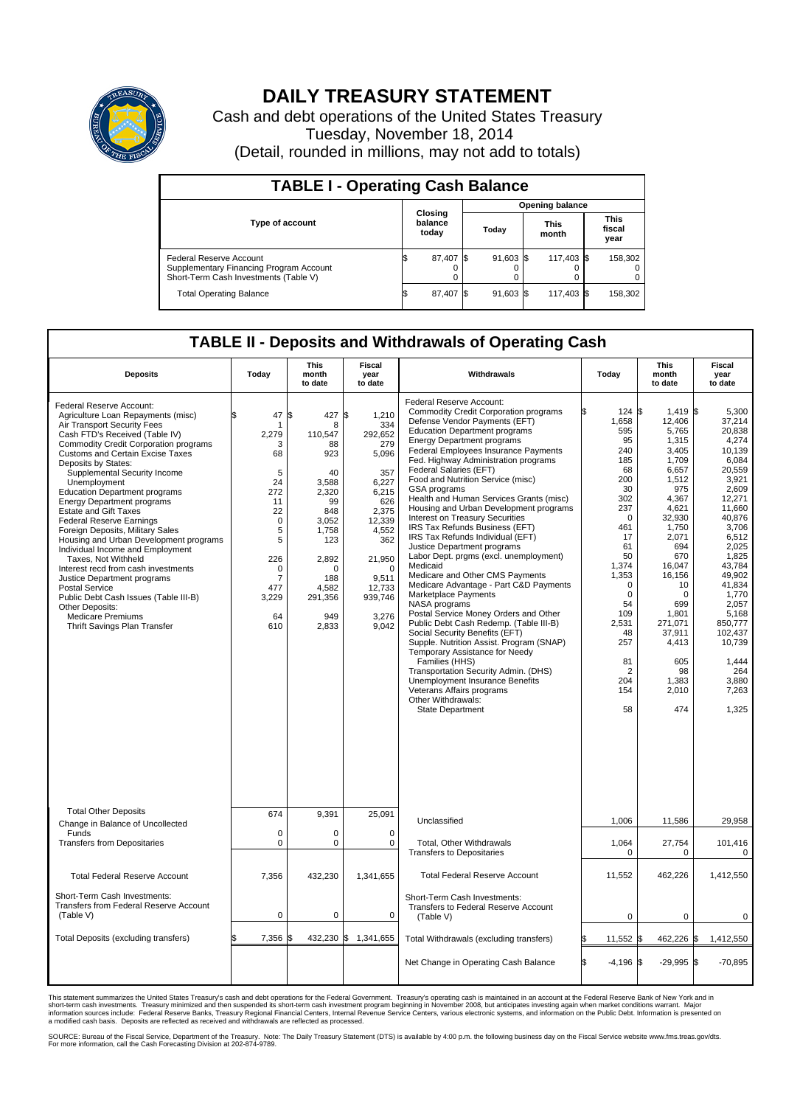

## **DAILY TREASURY STATEMENT**

Cash and debt operations of the United States Treasury Tuesday, November 18, 2014 (Detail, rounded in millions, may not add to totals)

| <b>TABLE I - Operating Cash Balance</b>                                                                     |                             |           |  |             |  |                        |  |                               |  |  |  |
|-------------------------------------------------------------------------------------------------------------|-----------------------------|-----------|--|-------------|--|------------------------|--|-------------------------------|--|--|--|
|                                                                                                             |                             |           |  |             |  | <b>Opening balance</b> |  |                               |  |  |  |
| Type of account                                                                                             | Closing<br>balance<br>today |           |  | Today       |  | <b>This</b><br>month   |  | <b>This</b><br>fiscal<br>year |  |  |  |
| Federal Reserve Account<br>Supplementary Financing Program Account<br>Short-Term Cash Investments (Table V) |                             | 87,407 \$ |  | $91,603$ \$ |  | 117,403 \$             |  | 158,302                       |  |  |  |
| <b>Total Operating Balance</b>                                                                              | S                           | 87,407    |  | $91,603$ \$ |  | 117,403 \$             |  | 158,302                       |  |  |  |

## **TABLE II - Deposits and Withdrawals of Operating Cash**

| <b>Deposits</b>                                                                                                                                                                                                                                                                                                                                                                                                                                                                                                                                                                                                                                                                                                                                                                                                   | Today                                                                                                                                                          | <b>This</b><br>month<br>to date                                                                                                                                      | <b>Fiscal</b><br>year<br>to date                                                                                                                                                       | Withdrawals                                                                                                                                                                                                                                                                                                                                                                                                                                                                                                                                                                                                                                                                                                                                                                                                                                                                                                                                                                                                                                                                                                                                         | Today                                                                                                                                                                                                                                         | <b>This</b><br>month<br>to date                                                                                                                                                                                                                                         | Fiscal<br>year<br>to date                                                                                                                                                                                                                                                               |
|-------------------------------------------------------------------------------------------------------------------------------------------------------------------------------------------------------------------------------------------------------------------------------------------------------------------------------------------------------------------------------------------------------------------------------------------------------------------------------------------------------------------------------------------------------------------------------------------------------------------------------------------------------------------------------------------------------------------------------------------------------------------------------------------------------------------|----------------------------------------------------------------------------------------------------------------------------------------------------------------|----------------------------------------------------------------------------------------------------------------------------------------------------------------------|----------------------------------------------------------------------------------------------------------------------------------------------------------------------------------------|-----------------------------------------------------------------------------------------------------------------------------------------------------------------------------------------------------------------------------------------------------------------------------------------------------------------------------------------------------------------------------------------------------------------------------------------------------------------------------------------------------------------------------------------------------------------------------------------------------------------------------------------------------------------------------------------------------------------------------------------------------------------------------------------------------------------------------------------------------------------------------------------------------------------------------------------------------------------------------------------------------------------------------------------------------------------------------------------------------------------------------------------------------|-----------------------------------------------------------------------------------------------------------------------------------------------------------------------------------------------------------------------------------------------|-------------------------------------------------------------------------------------------------------------------------------------------------------------------------------------------------------------------------------------------------------------------------|-----------------------------------------------------------------------------------------------------------------------------------------------------------------------------------------------------------------------------------------------------------------------------------------|
| Federal Reserve Account:<br>Agriculture Loan Repayments (misc)<br>Air Transport Security Fees<br>Cash FTD's Received (Table IV)<br><b>Commodity Credit Corporation programs</b><br><b>Customs and Certain Excise Taxes</b><br>Deposits by States:<br>Supplemental Security Income<br>Unemployment<br><b>Education Department programs</b><br><b>Energy Department programs</b><br><b>Estate and Gift Taxes</b><br><b>Federal Reserve Earnings</b><br>Foreign Deposits, Military Sales<br>Housing and Urban Development programs<br>Individual Income and Employment<br>Taxes, Not Withheld<br>Interest recd from cash investments<br>Justice Department programs<br><b>Postal Service</b><br>Public Debt Cash Issues (Table III-B)<br>Other Deposits:<br><b>Medicare Premiums</b><br>Thrift Savings Plan Transfer | 47<br>\$<br>-1<br>2,279<br>3<br>68<br>5<br>24<br>272<br>11<br>22<br>$\mathbf 0$<br>5<br>5<br>226<br>$\mathbf 0$<br>$\overline{7}$<br>477<br>3,229<br>64<br>610 | \$<br>427<br>8<br>110,547<br>88<br>923<br>40<br>3,588<br>2,320<br>99<br>848<br>3,052<br>1,758<br>123<br>2,892<br>$\Omega$<br>188<br>4,582<br>291,356<br>949<br>2,833 | \$<br>1,210<br>334<br>292,652<br>279<br>5,096<br>357<br>6,227<br>6,215<br>626<br>2.375<br>12,339<br>4,552<br>362<br>21,950<br>$\Omega$<br>9,511<br>12,733<br>939,746<br>3,276<br>9,042 | Federal Reserve Account:<br><b>Commodity Credit Corporation programs</b><br>Defense Vendor Payments (EFT)<br><b>Education Department programs</b><br><b>Energy Department programs</b><br><b>Federal Employees Insurance Payments</b><br>Fed. Highway Administration programs<br>Federal Salaries (EFT)<br>Food and Nutrition Service (misc)<br>GSA programs<br>Health and Human Services Grants (misc)<br>Housing and Urban Development programs<br>Interest on Treasury Securities<br>IRS Tax Refunds Business (EFT)<br>IRS Tax Refunds Individual (EFT)<br>Justice Department programs<br>Labor Dept. prgms (excl. unemployment)<br>Medicaid<br>Medicare and Other CMS Payments<br>Medicare Advantage - Part C&D Payments<br>Marketplace Payments<br>NASA programs<br>Postal Service Money Orders and Other<br>Public Debt Cash Redemp. (Table III-B)<br>Social Security Benefits (EFT)<br>Supple. Nutrition Assist. Program (SNAP)<br>Temporary Assistance for Needy<br>Families (HHS)<br>Transportation Security Admin. (DHS)<br>Unemployment Insurance Benefits<br>Veterans Affairs programs<br>Other Withdrawals:<br><b>State Department</b> | 124S<br>1,658<br>595<br>95<br>240<br>185<br>68<br>200<br>30<br>302<br>237<br>$\Omega$<br>461<br>17<br>61<br>50<br>1,374<br>1,353<br>$\mathbf 0$<br>$\mathbf 0$<br>54<br>109<br>2,531<br>48<br>257<br>81<br>$\overline{2}$<br>204<br>154<br>58 | $1.419$ \$<br>12,406<br>5,765<br>1,315<br>3.405<br>1,709<br>6,657<br>1,512<br>975<br>4,367<br>4,621<br>32,930<br>1,750<br>2,071<br>694<br>670<br>16,047<br>16,156<br>10<br>$\Omega$<br>699<br>1,801<br>271,071<br>37,911<br>4,413<br>605<br>98<br>1,383<br>2,010<br>474 | 5.300<br>37,214<br>20,838<br>4,274<br>10.139<br>6,084<br>20.559<br>3,921<br>2.609<br>12,271<br>11.660<br>40.876<br>3,706<br>6,512<br>2,025<br>1,825<br>43,784<br>49,902<br>41.834<br>1,770<br>2.057<br>5,168<br>850,777<br>102,437<br>10,739<br>1,444<br>264<br>3,880<br>7,263<br>1,325 |
| <b>Total Other Deposits</b><br>Change in Balance of Uncollected                                                                                                                                                                                                                                                                                                                                                                                                                                                                                                                                                                                                                                                                                                                                                   | 674                                                                                                                                                            | 9,391                                                                                                                                                                | 25,091                                                                                                                                                                                 | Unclassified                                                                                                                                                                                                                                                                                                                                                                                                                                                                                                                                                                                                                                                                                                                                                                                                                                                                                                                                                                                                                                                                                                                                        | 1,006                                                                                                                                                                                                                                         | 11,586                                                                                                                                                                                                                                                                  | 29,958                                                                                                                                                                                                                                                                                  |
| Funds<br><b>Transfers from Depositaries</b>                                                                                                                                                                                                                                                                                                                                                                                                                                                                                                                                                                                                                                                                                                                                                                       | $\mathbf 0$<br>$\mathbf 0$                                                                                                                                     | 0<br>0                                                                                                                                                               | $\mathbf 0$<br>$\mathbf 0$                                                                                                                                                             | Total, Other Withdrawals<br><b>Transfers to Depositaries</b>                                                                                                                                                                                                                                                                                                                                                                                                                                                                                                                                                                                                                                                                                                                                                                                                                                                                                                                                                                                                                                                                                        | 1,064<br>0                                                                                                                                                                                                                                    | 27,754<br>0                                                                                                                                                                                                                                                             | 101,416<br>0                                                                                                                                                                                                                                                                            |
| <b>Total Federal Reserve Account</b>                                                                                                                                                                                                                                                                                                                                                                                                                                                                                                                                                                                                                                                                                                                                                                              | 7.356                                                                                                                                                          | 432,230                                                                                                                                                              | 1,341,655                                                                                                                                                                              | <b>Total Federal Reserve Account</b>                                                                                                                                                                                                                                                                                                                                                                                                                                                                                                                                                                                                                                                                                                                                                                                                                                                                                                                                                                                                                                                                                                                | 11,552                                                                                                                                                                                                                                        | 462,226                                                                                                                                                                                                                                                                 | 1,412,550                                                                                                                                                                                                                                                                               |
| Short-Term Cash Investments:<br><b>Transfers from Federal Reserve Account</b><br>(Table V)                                                                                                                                                                                                                                                                                                                                                                                                                                                                                                                                                                                                                                                                                                                        | $\mathbf 0$                                                                                                                                                    | 0                                                                                                                                                                    | 0                                                                                                                                                                                      | Short-Term Cash Investments:<br>Transfers to Federal Reserve Account<br>(Table V)                                                                                                                                                                                                                                                                                                                                                                                                                                                                                                                                                                                                                                                                                                                                                                                                                                                                                                                                                                                                                                                                   | $\mathbf 0$                                                                                                                                                                                                                                   | 0                                                                                                                                                                                                                                                                       | 0                                                                                                                                                                                                                                                                                       |
| Total Deposits (excluding transfers)                                                                                                                                                                                                                                                                                                                                                                                                                                                                                                                                                                                                                                                                                                                                                                              | 7,356                                                                                                                                                          | 432,230                                                                                                                                                              | \$<br>1,341,655                                                                                                                                                                        | Total Withdrawals (excluding transfers)                                                                                                                                                                                                                                                                                                                                                                                                                                                                                                                                                                                                                                                                                                                                                                                                                                                                                                                                                                                                                                                                                                             | 11,552 \$<br>\$                                                                                                                                                                                                                               | 462,226 \$                                                                                                                                                                                                                                                              | 1,412,550                                                                                                                                                                                                                                                                               |
|                                                                                                                                                                                                                                                                                                                                                                                                                                                                                                                                                                                                                                                                                                                                                                                                                   |                                                                                                                                                                |                                                                                                                                                                      |                                                                                                                                                                                        | Net Change in Operating Cash Balance                                                                                                                                                                                                                                                                                                                                                                                                                                                                                                                                                                                                                                                                                                                                                                                                                                                                                                                                                                                                                                                                                                                | Ŝ.<br>$-4,196$ \$                                                                                                                                                                                                                             | $-29,995$ \$                                                                                                                                                                                                                                                            | $-70,895$                                                                                                                                                                                                                                                                               |

This statement summarizes the United States Treasury's cash and debt operations for the Federal Government. Treasury's operating cash is maintained in an account at the Federal Reserve Bank of New York and in<br>short-term ca

SOURCE: Bureau of the Fiscal Service, Department of the Treasury. Note: The Daily Treasury Statement (DTS) is available by 4:00 p.m. the following business day on the Fiscal Service website www.fms.treas.gov/dts.<br>For more